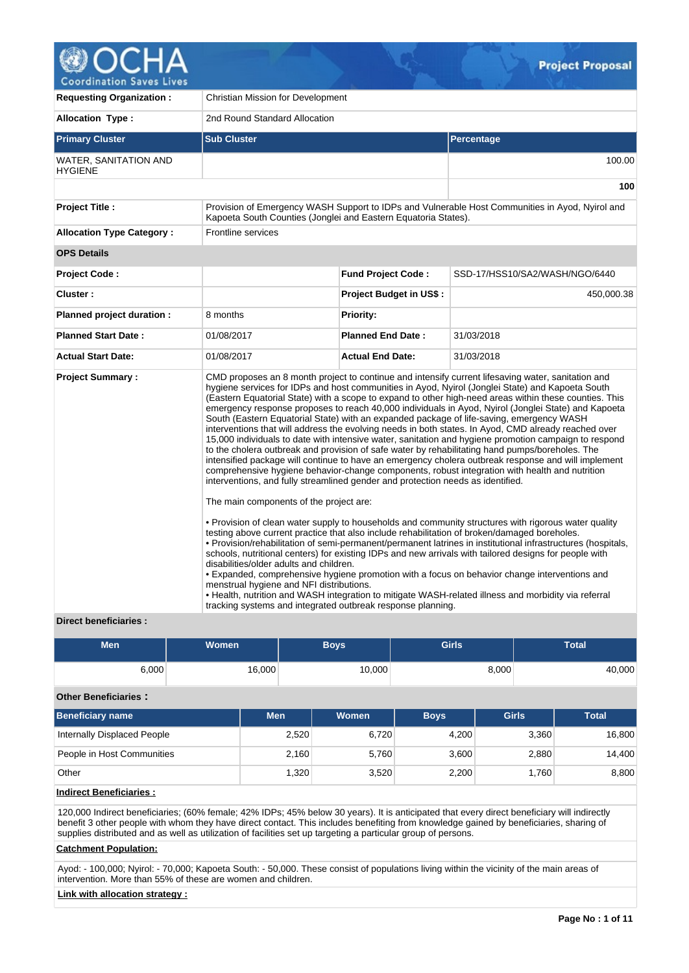

| <b>Requesting Organization:</b>                | Christian Mission for Development                                                                                                                                                                                                                                                |                                |                                                                                                                                                                                                                                                                                                                                                                                                                                                                                                                                                                                                                                                                                                                                                                                                                                                                                                                                                                                                                                                                                                                                                                                                                                                                                                                                                                                                                                                                                                                                                                                                                                                                                             |  |  |  |  |
|------------------------------------------------|----------------------------------------------------------------------------------------------------------------------------------------------------------------------------------------------------------------------------------------------------------------------------------|--------------------------------|---------------------------------------------------------------------------------------------------------------------------------------------------------------------------------------------------------------------------------------------------------------------------------------------------------------------------------------------------------------------------------------------------------------------------------------------------------------------------------------------------------------------------------------------------------------------------------------------------------------------------------------------------------------------------------------------------------------------------------------------------------------------------------------------------------------------------------------------------------------------------------------------------------------------------------------------------------------------------------------------------------------------------------------------------------------------------------------------------------------------------------------------------------------------------------------------------------------------------------------------------------------------------------------------------------------------------------------------------------------------------------------------------------------------------------------------------------------------------------------------------------------------------------------------------------------------------------------------------------------------------------------------------------------------------------------------|--|--|--|--|
| Allocation Type:                               | 2nd Round Standard Allocation                                                                                                                                                                                                                                                    |                                |                                                                                                                                                                                                                                                                                                                                                                                                                                                                                                                                                                                                                                                                                                                                                                                                                                                                                                                                                                                                                                                                                                                                                                                                                                                                                                                                                                                                                                                                                                                                                                                                                                                                                             |  |  |  |  |
| <b>Primary Cluster</b>                         | <b>Sub Cluster</b>                                                                                                                                                                                                                                                               |                                | Percentage                                                                                                                                                                                                                                                                                                                                                                                                                                                                                                                                                                                                                                                                                                                                                                                                                                                                                                                                                                                                                                                                                                                                                                                                                                                                                                                                                                                                                                                                                                                                                                                                                                                                                  |  |  |  |  |
| <b>WATER, SANITATION AND</b><br><b>HYGIENE</b> |                                                                                                                                                                                                                                                                                  | 100.00                         |                                                                                                                                                                                                                                                                                                                                                                                                                                                                                                                                                                                                                                                                                                                                                                                                                                                                                                                                                                                                                                                                                                                                                                                                                                                                                                                                                                                                                                                                                                                                                                                                                                                                                             |  |  |  |  |
|                                                |                                                                                                                                                                                                                                                                                  |                                | 100                                                                                                                                                                                                                                                                                                                                                                                                                                                                                                                                                                                                                                                                                                                                                                                                                                                                                                                                                                                                                                                                                                                                                                                                                                                                                                                                                                                                                                                                                                                                                                                                                                                                                         |  |  |  |  |
| <b>Project Title:</b>                          | Kapoeta South Counties (Jonglei and Eastern Equatoria States).                                                                                                                                                                                                                   |                                | Provision of Emergency WASH Support to IDPs and Vulnerable Host Communities in Ayod, Nyirol and                                                                                                                                                                                                                                                                                                                                                                                                                                                                                                                                                                                                                                                                                                                                                                                                                                                                                                                                                                                                                                                                                                                                                                                                                                                                                                                                                                                                                                                                                                                                                                                             |  |  |  |  |
| <b>Allocation Type Category:</b>               | Frontline services                                                                                                                                                                                                                                                               |                                |                                                                                                                                                                                                                                                                                                                                                                                                                                                                                                                                                                                                                                                                                                                                                                                                                                                                                                                                                                                                                                                                                                                                                                                                                                                                                                                                                                                                                                                                                                                                                                                                                                                                                             |  |  |  |  |
| <b>OPS Details</b>                             |                                                                                                                                                                                                                                                                                  |                                |                                                                                                                                                                                                                                                                                                                                                                                                                                                                                                                                                                                                                                                                                                                                                                                                                                                                                                                                                                                                                                                                                                                                                                                                                                                                                                                                                                                                                                                                                                                                                                                                                                                                                             |  |  |  |  |
| <b>Project Code:</b>                           |                                                                                                                                                                                                                                                                                  | <b>Fund Project Code:</b>      | SSD-17/HSS10/SA2/WASH/NGO/6440                                                                                                                                                                                                                                                                                                                                                                                                                                                                                                                                                                                                                                                                                                                                                                                                                                                                                                                                                                                                                                                                                                                                                                                                                                                                                                                                                                                                                                                                                                                                                                                                                                                              |  |  |  |  |
| Cluster:                                       |                                                                                                                                                                                                                                                                                  | <b>Project Budget in US\$:</b> | 450,000.38                                                                                                                                                                                                                                                                                                                                                                                                                                                                                                                                                                                                                                                                                                                                                                                                                                                                                                                                                                                                                                                                                                                                                                                                                                                                                                                                                                                                                                                                                                                                                                                                                                                                                  |  |  |  |  |
| Planned project duration :                     | 8 months                                                                                                                                                                                                                                                                         | Priority:                      |                                                                                                                                                                                                                                                                                                                                                                                                                                                                                                                                                                                                                                                                                                                                                                                                                                                                                                                                                                                                                                                                                                                                                                                                                                                                                                                                                                                                                                                                                                                                                                                                                                                                                             |  |  |  |  |
| <b>Planned Start Date:</b>                     | 01/08/2017                                                                                                                                                                                                                                                                       | <b>Planned End Date:</b>       | 31/03/2018                                                                                                                                                                                                                                                                                                                                                                                                                                                                                                                                                                                                                                                                                                                                                                                                                                                                                                                                                                                                                                                                                                                                                                                                                                                                                                                                                                                                                                                                                                                                                                                                                                                                                  |  |  |  |  |
| <b>Actual Start Date:</b>                      | 01/08/2017                                                                                                                                                                                                                                                                       | <b>Actual End Date:</b>        | 31/03/2018                                                                                                                                                                                                                                                                                                                                                                                                                                                                                                                                                                                                                                                                                                                                                                                                                                                                                                                                                                                                                                                                                                                                                                                                                                                                                                                                                                                                                                                                                                                                                                                                                                                                                  |  |  |  |  |
| <b>Project Summary:</b>                        | interventions, and fully streamlined gender and protection needs as identified.<br>The main components of the project are:<br>disabilities/older adults and children.<br>menstrual hygiene and NFI distributions.<br>tracking systems and integrated outbreak response planning. |                                | CMD proposes an 8 month project to continue and intensify current lifesaving water, sanitation and<br>hygiene services for IDPs and host communities in Ayod, Nyirol (Jonglei State) and Kapoeta South<br>(Eastern Equatorial State) with a scope to expand to other high-need areas within these counties. This<br>emergency response proposes to reach 40,000 individuals in Ayod, Nyirol (Jonglei State) and Kapoeta<br>South (Eastern Equatorial State) with an expanded package of life-saving, emergency WASH<br>interventions that will address the evolving needs in both states. In Ayod, CMD already reached over<br>15,000 individuals to date with intensive water, sanitation and hygiene promotion campaign to respond<br>to the cholera outbreak and provision of safe water by rehabilitating hand pumps/boreholes. The<br>intensified package will continue to have an emergency cholera outbreak response and will implement<br>comprehensive hygiene behavior-change components, robust integration with health and nutrition<br>• Provision of clean water supply to households and community structures with rigorous water quality<br>testing above current practice that also include rehabilitation of broken/damaged boreholes.<br>. Provision/rehabilitation of semi-permanent/permanent latrines in institutional infrastructures (hospitals,<br>schools, nutritional centers) for existing IDPs and new arrivals with tailored designs for people with<br>. Expanded, comprehensive hygiene promotion with a focus on behavior change interventions and<br>• Health, nutrition and WASH integration to mitigate WASH-related illness and morbidity via referral |  |  |  |  |
| Direct beneficiaries :                         |                                                                                                                                                                                                                                                                                  |                                |                                                                                                                                                                                                                                                                                                                                                                                                                                                                                                                                                                                                                                                                                                                                                                                                                                                                                                                                                                                                                                                                                                                                                                                                                                                                                                                                                                                                                                                                                                                                                                                                                                                                                             |  |  |  |  |

# **Men Women Boys Girls Total**  $6,000$   $16,000$   $10,000$   $8,000$   $40,000$

### **Other Beneficiaries :**

| <b>Beneficiary name</b>     | <b>Men</b> | Women | <b>Boys</b> | <b>Girls</b> | <b>Total</b> |
|-----------------------------|------------|-------|-------------|--------------|--------------|
| Internally Displaced People | 2,520      | 6,720 | 4.200       | 3.360        | 16,800       |
| People in Host Communities  | 2,160      | 5,760 | 3,600       | 2,880        | 14,400       |
| Other                       | 1,320      | 3,520 | 2,200       | 1.760        | 8,800        |

# **Indirect Beneficiaries :**

120,000 Indirect beneficiaries; (60% female; 42% IDPs; 45% below 30 years). It is anticipated that every direct beneficiary will indirectly benefit 3 other people with whom they have direct contact. This includes benefiting from knowledge gained by beneficiaries, sharing of supplies distributed and as well as utilization of facilities set up targeting a particular group of persons.

### **Catchment Population:**

Ayod: - 100,000; Nyirol: - 70,000; Kapoeta South: - 50,000. These consist of populations living within the vicinity of the main areas of intervention. More than 55% of these are women and children.

# **Link with allocation strategy :**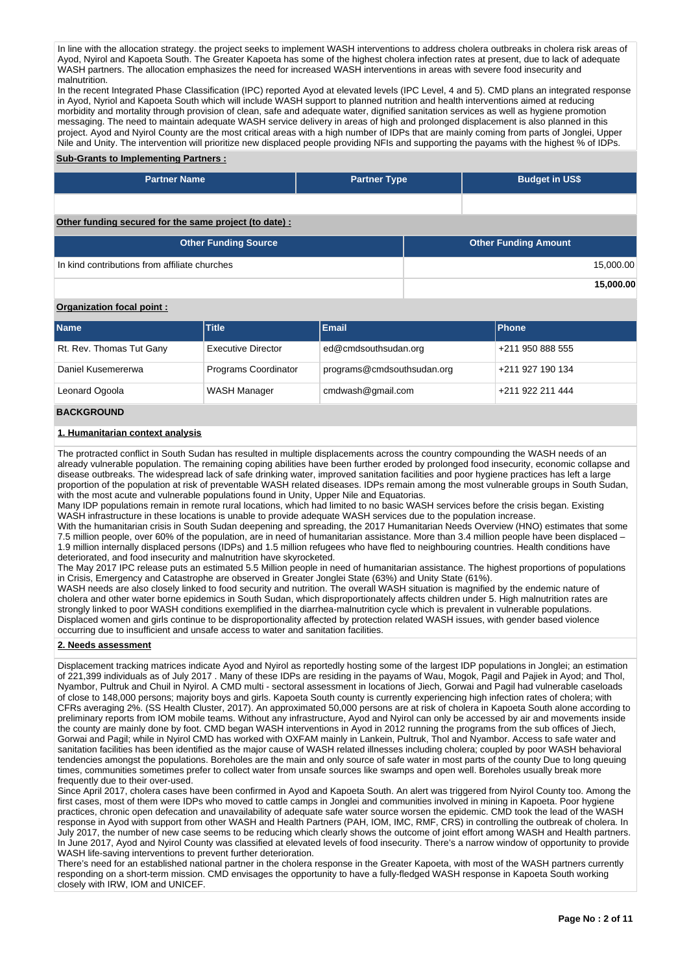In line with the allocation strategy. the project seeks to implement WASH interventions to address cholera outbreaks in cholera risk areas of Ayod, Nyirol and Kapoeta South. The Greater Kapoeta has some of the highest cholera infection rates at present, due to lack of adequate WASH partners. The allocation emphasizes the need for increased WASH interventions in areas with severe food insecurity and malnutrition.

In the recent Integrated Phase Classification (IPC) reported Ayod at elevated levels (IPC Level, 4 and 5). CMD plans an integrated response in Ayod, Nyriol and Kapoeta South which will include WASH support to planned nutrition and health interventions aimed at reducing morbidity and mortality through provision of clean, safe and adequate water, dignified sanitation services as well as hygiene promotion messaging. The need to maintain adequate WASH service delivery in areas of high and prolonged displacement is also planned in this project. Ayod and Nyirol County are the most critical areas with a high number of IDPs that are mainly coming from parts of Jonglei, Upper Nile and Unity. The intervention will prioritize new displaced people providing NFIs and supporting the payams with the highest % of IDPs.

# **Sub-Grants to Implementing Partners :**

| <b>Partner Name</b>                                   | <b>Budget in US\$</b><br><b>Partner Type</b> |                             |           |  |
|-------------------------------------------------------|----------------------------------------------|-----------------------------|-----------|--|
|                                                       |                                              |                             |           |  |
| Other funding secured for the same project (to date): |                                              |                             |           |  |
| <b>Other Funding Source</b>                           |                                              | <b>Other Funding Amount</b> |           |  |
| In kind contributions from affiliate churches         |                                              |                             | 15,000.00 |  |

**<sup>15,000.00</sup>**

### **Organization focal point :**

| <b>Name</b>              | <b>Title</b>              | Email                      | Phone            |
|--------------------------|---------------------------|----------------------------|------------------|
| Rt. Rev. Thomas Tut Gany | <b>Executive Director</b> | ed@cmdsouthsudan.org       | +211 950 888 555 |
| Daniel Kusemererwa       | Programs Coordinator      | programs@cmdsouthsudan.org | +211 927 190 134 |
| Leonard Ogoola           | WASH Manager              | cmdwash@gmail.com          | +211 922 211 444 |

# **BACKGROUND**

### **1. Humanitarian context analysis**

The protracted conflict in South Sudan has resulted in multiple displacements across the country compounding the WASH needs of an already vulnerable population. The remaining coping abilities have been further eroded by prolonged food insecurity, economic collapse and disease outbreaks. The widespread lack of safe drinking water, improved sanitation facilities and poor hygiene practices has left a large proportion of the population at risk of preventable WASH related diseases. IDPs remain among the most vulnerable groups in South Sudan, with the most acute and vulnerable populations found in Unity, Upper Nile and Equatorias.

Many IDP populations remain in remote rural locations, which had limited to no basic WASH services before the crisis began. Existing WASH infrastructure in these locations is unable to provide adequate WASH services due to the population increase.

With the humanitarian crisis in South Sudan deepening and spreading, the 2017 Humanitarian Needs Overview (HNO) estimates that some 7.5 million people, over 60% of the population, are in need of humanitarian assistance. More than 3.4 million people have been displaced – 1.9 million internally displaced persons (IDPs) and 1.5 million refugees who have fled to neighbouring countries. Health conditions have deteriorated, and food insecurity and malnutrition have skyrocketed.

The May 2017 IPC release puts an estimated 5.5 Million people in need of humanitarian assistance. The highest proportions of populations in Crisis, Emergency and Catastrophe are observed in Greater Jonglei State (63%) and Unity State (61%).

WASH needs are also closely linked to food security and nutrition. The overall WASH situation is magnified by the endemic nature of cholera and other water borne epidemics in South Sudan, which disproportionately affects children under 5. High malnutrition rates are strongly linked to poor WASH conditions exemplified in the diarrhea-malnutrition cycle which is prevalent in vulnerable populations. Displaced women and girls continue to be disproportionality affected by protection related WASH issues, with gender based violence occurring due to insufficient and unsafe access to water and sanitation facilities.

### **2. Needs assessment**

Displacement tracking matrices indicate Ayod and Nyirol as reportedly hosting some of the largest IDP populations in Jonglei; an estimation of 221,399 individuals as of July 2017 . Many of these IDPs are residing in the payams of Wau, Mogok, Pagil and Pajiek in Ayod; and Thol, Nyambor, Pultruk and Chuil in Nyirol. A CMD multi - sectoral assessment in locations of Jiech, Gorwai and Pagil had vulnerable caseloads of close to 148,000 persons; majority boys and girls. Kapoeta South county is currently experiencing high infection rates of cholera; with CFRs averaging 2%. (SS Health Cluster, 2017). An approximated 50,000 persons are at risk of cholera in Kapoeta South alone according to preliminary reports from IOM mobile teams. Without any infrastructure, Ayod and Nyirol can only be accessed by air and movements inside the county are mainly done by foot. CMD began WASH interventions in Ayod in 2012 running the programs from the sub offices of Jiech, Gorwai and Pagil; while in Nyirol CMD has worked with OXFAM mainly in Lankein, Pultruk, Thol and Nyambor. Access to safe water and sanitation facilities has been identified as the major cause of WASH related illnesses including cholera; coupled by poor WASH behavioral tendencies amongst the populations. Boreholes are the main and only source of safe water in most parts of the county Due to long queuing times, communities sometimes prefer to collect water from unsafe sources like swamps and open well. Boreholes usually break more frequently due to their over-used.

Since April 2017, cholera cases have been confirmed in Ayod and Kapoeta South. An alert was triggered from Nyirol County too. Among the first cases, most of them were IDPs who moved to cattle camps in Jonglei and communities involved in mining in Kapoeta. Poor hygiene practices, chronic open defecation and unavailability of adequate safe water source worsen the epidemic. CMD took the lead of the WASH response in Ayod with support from other WASH and Health Partners (PAH, IOM, IMC, RMF, CRS) in controlling the outbreak of cholera. In July 2017, the number of new case seems to be reducing which clearly shows the outcome of joint effort among WASH and Health partners. In June 2017, Ayod and Nyirol County was classified at elevated levels of food insecurity. There's a narrow window of opportunity to provide WASH life-saving interventions to prevent further deterioration.

There's need for an established national partner in the cholera response in the Greater Kapoeta, with most of the WASH partners currently responding on a short-term mission. CMD envisages the opportunity to have a fully-fledged WASH response in Kapoeta South working closely with IRW, IOM and UNICEF.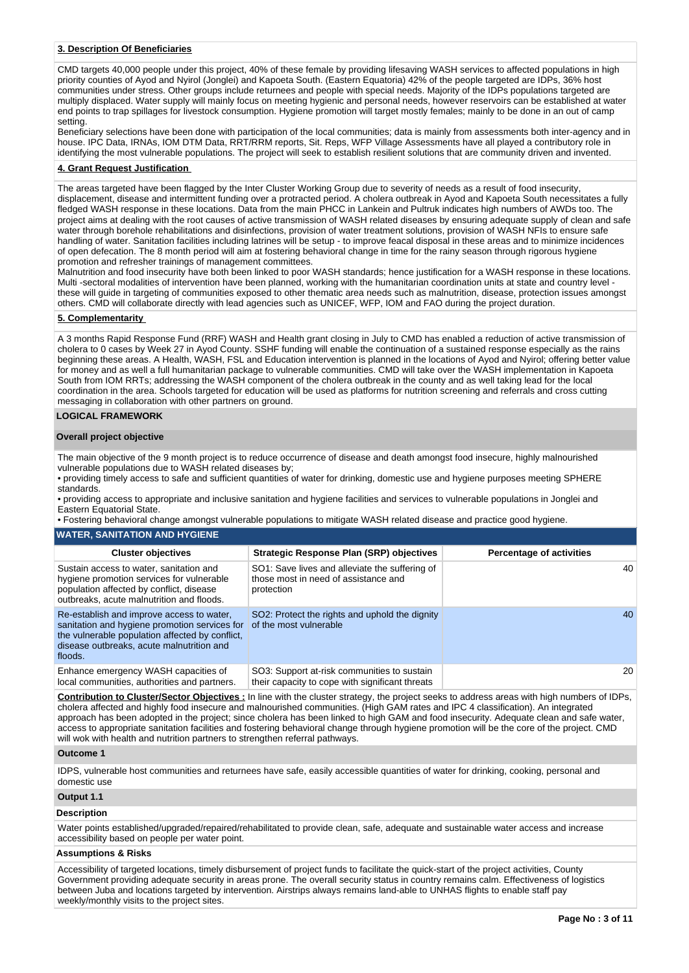### **3. Description Of Beneficiaries**

CMD targets 40,000 people under this project, 40% of these female by providing lifesaving WASH services to affected populations in high priority counties of Ayod and Nyirol (Jonglei) and Kapoeta South. (Eastern Equatoria) 42% of the people targeted are IDPs, 36% host communities under stress. Other groups include returnees and people with special needs. Majority of the IDPs populations targeted are multiply displaced. Water supply will mainly focus on meeting hygienic and personal needs, however reservoirs can be established at water end points to trap spillages for livestock consumption. Hygiene promotion will target mostly females; mainly to be done in an out of camp setting.

Beneficiary selections have been done with participation of the local communities; data is mainly from assessments both inter-agency and in house. IPC Data, IRNAs, IOM DTM Data, RRT/RRM reports, Sit. Reps, WFP Village Assessments have all played a contributory role in identifying the most vulnerable populations. The project will seek to establish resilient solutions that are community driven and invented.

### **4. Grant Request Justification**

The areas targeted have been flagged by the Inter Cluster Working Group due to severity of needs as a result of food insecurity, displacement, disease and intermittent funding over a protracted period. A cholera outbreak in Ayod and Kapoeta South necessitates a fully fledged WASH response in these locations. Data from the main PHCC in Lankein and Pultruk indicates high numbers of AWDs too. The project aims at dealing with the root causes of active transmission of WASH related diseases by ensuring adequate supply of clean and safe water through borehole rehabilitations and disinfections, provision of water treatment solutions, provision of WASH NFIs to ensure safe handling of water. Sanitation facilities including latrines will be setup - to improve feacal disposal in these areas and to minimize incidences of open defecation. The 8 month period will aim at fostering behavioral change in time for the rainy season through rigorous hygiene promotion and refresher trainings of management committees.

Malnutrition and food insecurity have both been linked to poor WASH standards; hence justification for a WASH response in these locations. Multi -sectoral modalities of intervention have been planned, working with the humanitarian coordination units at state and country level these will guide in targeting of communities exposed to other thematic area needs such as malnutrition, disease, protection issues amongst others. CMD will collaborate directly with lead agencies such as UNICEF, WFP, IOM and FAO during the project duration.

### **5. Complementarity**

A 3 months Rapid Response Fund (RRF) WASH and Health grant closing in July to CMD has enabled a reduction of active transmission of cholera to 0 cases by Week 27 in Ayod County. SSHF funding will enable the continuation of a sustained response especially as the rains beginning these areas. A Health, WASH, FSL and Education intervention is planned in the locations of Ayod and Nyirol; offering better value for money and as well a full humanitarian package to vulnerable communities. CMD will take over the WASH implementation in Kapoeta South from IOM RRTs; addressing the WASH component of the cholera outbreak in the county and as well taking lead for the local coordination in the area. Schools targeted for education will be used as platforms for nutrition screening and referrals and cross cutting messaging in collaboration with other partners on ground.

### **LOGICAL FRAMEWORK**

#### **Overall project objective**

The main objective of the 9 month project is to reduce occurrence of disease and death amongst food insecure, highly malnourished vulnerable populations due to WASH related diseases by;

• providing timely access to safe and sufficient quantities of water for drinking, domestic use and hygiene purposes meeting SPHERE standards.

• providing access to appropriate and inclusive sanitation and hygiene facilities and services to vulnerable populations in Jonglei and Eastern Equatorial State.

• Fostering behavioral change amongst vulnerable populations to mitigate WASH related disease and practice good hygiene.

#### **WATER, SANITATION AND HYGIENE**

| <b>Cluster objectives</b>                                                                                                                                                                             | Strategic Response Plan (SRP) objectives                                                             | <b>Percentage of activities</b> |
|-------------------------------------------------------------------------------------------------------------------------------------------------------------------------------------------------------|------------------------------------------------------------------------------------------------------|---------------------------------|
| Sustain access to water, sanitation and<br>hygiene promotion services for vulnerable<br>population affected by conflict, disease<br>outbreaks, acute malnutrition and floods.                         | SO1: Save lives and alleviate the suffering of<br>those most in need of assistance and<br>protection | 40                              |
| Re-establish and improve access to water.<br>sanitation and hygiene promotion services for<br>the vulnerable population affected by conflict,<br>disease outbreaks, acute malnutrition and<br>floods. | SO2: Protect the rights and uphold the dignity<br>of the most vulnerable                             | 40                              |
| Enhance emergency WASH capacities of<br>local communities, authorities and partners.                                                                                                                  | SO3: Support at-risk communities to sustain<br>their capacity to cope with significant threats       | 20                              |

**Contribution to Cluster/Sector Objectives :** In line with the cluster strategy, the project seeks to address areas with high numbers of IDPs, cholera affected and highly food insecure and malnourished communities. (High GAM rates and IPC 4 classification). An integrated approach has been adopted in the project; since cholera has been linked to high GAM and food insecurity. Adequate clean and safe water, access to appropriate sanitation facilities and fostering behavioral change through hygiene promotion will be the core of the project. CMD will wok with health and nutrition partners to strengthen referral pathways.

### **Outcome 1**

IDPS, vulnerable host communities and returnees have safe, easily accessible quantities of water for drinking, cooking, personal and domestic use

#### **Output 1.1**

### **Description**

Water points established/upgraded/repaired/rehabilitated to provide clean, safe, adequate and sustainable water access and increase accessibility based on people per water point.

# **Assumptions & Risks**

Accessibility of targeted locations, timely disbursement of project funds to facilitate the quick-start of the project activities, County Government providing adequate security in areas prone. The overall security status in country remains calm. Effectiveness of logistics between Juba and locations targeted by intervention. Airstrips always remains land-able to UNHAS flights to enable staff pay weekly/monthly visits to the project sites.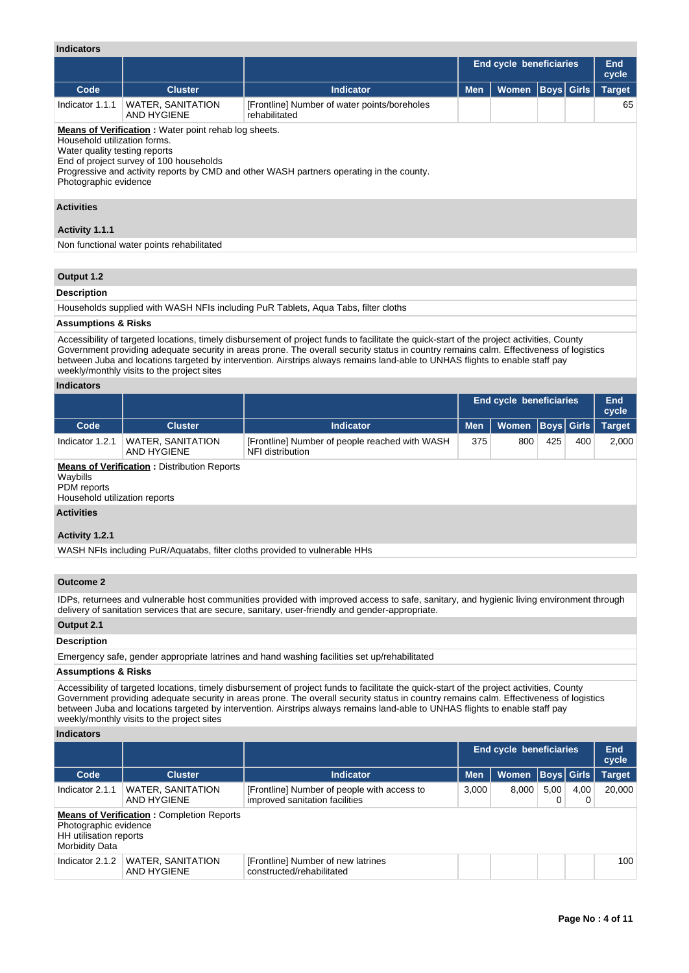# **Indicators**

|                                                                                        |                                                                                                       |                                                                                          | End cycle beneficiaries |              |  |                   | <b>End</b><br>cycle |
|----------------------------------------------------------------------------------------|-------------------------------------------------------------------------------------------------------|------------------------------------------------------------------------------------------|-------------------------|--------------|--|-------------------|---------------------|
| Code                                                                                   | <b>Cluster</b>                                                                                        | Indicator                                                                                | <b>Men</b>              | <b>Women</b> |  | <b>Boys</b> Girls | <b>Target</b>       |
| Indicator 1.1.1                                                                        | WATER, SANITATION<br>AND HYGIENE                                                                      | [Frontline] Number of water points/boreholes<br>rehabilitated                            |                         |              |  |                   | 65                  |
| Household utilization forms.<br>Water quality testing reports<br>Photographic evidence | <b>Means of Verification:</b> Water point rehablog sheets.<br>End of project survey of 100 households | Progressive and activity reports by CMD and other WASH partners operating in the county. |                         |              |  |                   |                     |

# **Activities**

# **Activity 1.1.1**

Non functional water points rehabilitated

# **Output 1.2**

# **Description**

Households supplied with WASH NFIs including PuR Tablets, Aqua Tabs, filter cloths

### **Assumptions & Risks**

Accessibility of targeted locations, timely disbursement of project funds to facilitate the quick-start of the project activities, County Government providing adequate security in areas prone. The overall security status in country remains calm. Effectiveness of logistics between Juba and locations targeted by intervention. Airstrips always remains land-able to UNHAS flights to enable staff pay weekly/monthly visits to the project sites

### **Indicators**

|                         |                                                                                     |                                                                    | End cycle beneficiaries |              |                   |     | End<br>cycle  |  |  |
|-------------------------|-------------------------------------------------------------------------------------|--------------------------------------------------------------------|-------------------------|--------------|-------------------|-----|---------------|--|--|
| Code                    | <b>Cluster</b>                                                                      | <b>Indicator</b>                                                   | <b>Men</b>              | <b>Women</b> | <b>Boys</b> Girls |     | <b>Target</b> |  |  |
| Indicator 1.2.1         | WATER, SANITATION<br>AND HYGIENE                                                    | [Frontline] Number of people reached with WASH<br>NFI distribution | 375                     | 800          | 425               | 400 | 2,000         |  |  |
| Waybills<br>PDM reports | <b>Means of Verification: Distribution Reports</b><br>Household utilization reports |                                                                    |                         |              |                   |     |               |  |  |
| <b>Activities</b>       |                                                                                     |                                                                    |                         |              |                   |     |               |  |  |
| Activity 1.2.1          |                                                                                     |                                                                    |                         |              |                   |     |               |  |  |

WASH NFIs including PuR/Aquatabs, filter cloths provided to vulnerable HHs

# **Outcome 2**

IDPs, returnees and vulnerable host communities provided with improved access to safe, sanitary, and hygienic living environment through delivery of sanitation services that are secure, sanitary, user-friendly and gender-appropriate.

### **Output 2.1**

# **Description**

Emergency safe, gender appropriate latrines and hand washing facilities set up/rehabilitated

### **Assumptions & Risks**

Accessibility of targeted locations, timely disbursement of project funds to facilitate the quick-start of the project activities, County Government providing adequate security in areas prone. The overall security status in country remains calm. Effectiveness of logistics between Juba and locations targeted by intervention. Airstrips always remains land-able to UNHAS flights to enable staff pay weekly/monthly visits to the project sites

### **Indicators**

|                                                                          |                                                  |                                                                               |            | <b>End cycle beneficiaries</b> |                   |           | End<br>cycle  |
|--------------------------------------------------------------------------|--------------------------------------------------|-------------------------------------------------------------------------------|------------|--------------------------------|-------------------|-----------|---------------|
| Code                                                                     | <b>Cluster</b>                                   | <b>Indicator</b>                                                              | <b>Men</b> | <b>Women</b>                   | <b>Boys</b> Girls |           | <b>Target</b> |
| Indicator 2.1.1                                                          | <b>WATER, SANITATION</b><br>AND HYGIENE          | [Frontline] Number of people with access to<br>improved sanitation facilities | 3,000      | 8.000                          | 5.00              | 4.00<br>0 | 20,000        |
| Photographic evidence<br>HH utilisation reports<br><b>Morbidity Data</b> | <b>Means of Verification: Completion Reports</b> |                                                                               |            |                                |                   |           |               |
| Indicator 2.1.2                                                          | <b>WATER, SANITATION</b><br>AND HYGIENE          | [Frontline] Number of new latrines<br>constructed/rehabilitated               |            |                                |                   |           | 100           |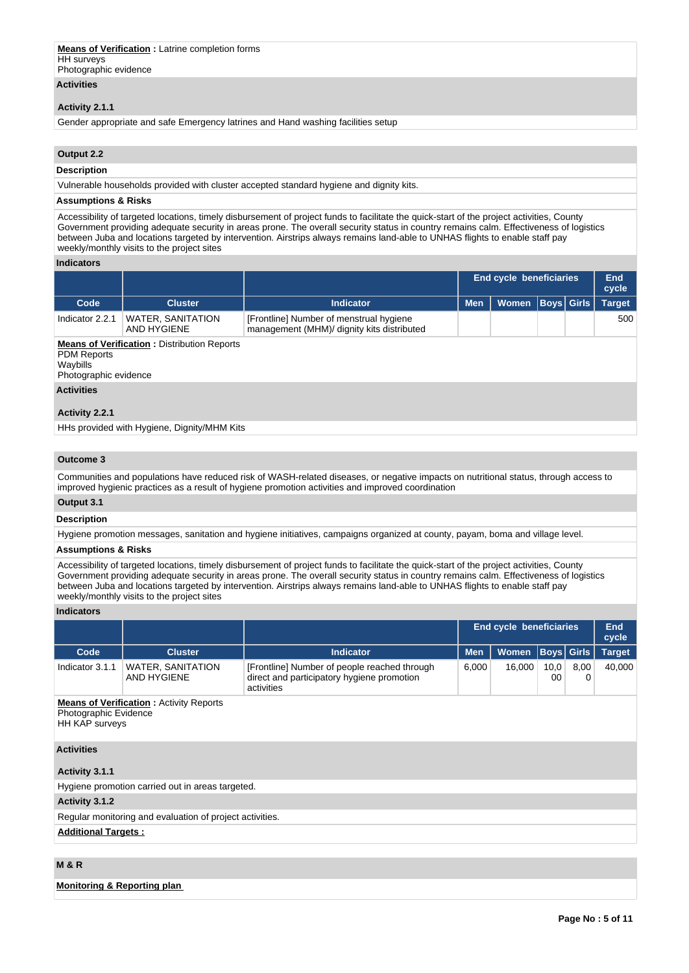#### **Means of Verification :** Latrine completion forms **HH** surveys Photographic evidence

**Activities**

# **Activity 2.1.1**

Gender appropriate and safe Emergency latrines and Hand washing facilities setup

# **Output 2.2**

# **Description**

Vulnerable households provided with cluster accepted standard hygiene and dignity kits.

#### **Assumptions & Risks**

Accessibility of targeted locations, timely disbursement of project funds to facilitate the quick-start of the project activities, County Government providing adequate security in areas prone. The overall security status in country remains calm. Effectiveness of logistics between Juba and locations targeted by intervention. Airstrips always remains land-able to UNHAS flights to enable staff pay weekly/monthly visits to the project sites

### **Indicators**

|                                                         |                                                    |                                                                                       |            | <b>End cycle beneficiaries</b> |             | End<br>cycle  |
|---------------------------------------------------------|----------------------------------------------------|---------------------------------------------------------------------------------------|------------|--------------------------------|-------------|---------------|
| Code                                                    | <b>Cluster</b>                                     | <b>Indicator</b>                                                                      | <b>Men</b> | Women                          | Boys  Girls | <b>Target</b> |
| Indicator 2.2.1                                         | <b>WATER, SANITATION</b><br>AND HYGIENE            | [Frontline] Number of menstrual hygiene<br>management (MHM)/ dignity kits distributed |            |                                |             | 500           |
| <b>PDM Reports</b><br>Waybills<br>Photographic evidence | <b>Means of Verification: Distribution Reports</b> |                                                                                       |            |                                |             |               |

# **Activities**

### **Activity 2.2.1**

HHs provided with Hygiene, Dignity/MHM Kits

### **Outcome 3**

Communities and populations have reduced risk of WASH-related diseases, or negative impacts on nutritional status, through access to improved hygienic practices as a result of hygiene promotion activities and improved coordination

# **Output 3.1**

### **Description**

Hygiene promotion messages, sanitation and hygiene initiatives, campaigns organized at county, payam, boma and village level.

# **Assumptions & Risks**

Accessibility of targeted locations, timely disbursement of project funds to facilitate the quick-start of the project activities, County Government providing adequate security in areas prone. The overall security status in country remains calm. Effectiveness of logistics between Juba and locations targeted by intervention. Airstrips always remains land-able to UNHAS flights to enable staff pay weekly/monthly visits to the project sites

### **Indicators**

|                                                          |                                                                                                  |                                                                                                          | End cycle beneficiaries                    |       |  |                   | End<br>cycle  |  |
|----------------------------------------------------------|--------------------------------------------------------------------------------------------------|----------------------------------------------------------------------------------------------------------|--------------------------------------------|-------|--|-------------------|---------------|--|
| Code                                                     | <b>Cluster</b>                                                                                   | <b>Indicator</b>                                                                                         | <b>Men</b>                                 | Women |  | <b>Boys Girls</b> | <b>Target</b> |  |
| Indicator 3.1.1                                          | <b>WATER, SANITATION</b><br><b>AND HYGIENE</b>                                                   | [Frontline] Number of people reached through<br>direct and participatory hygiene promotion<br>activities | 6,000<br>16,000<br>10,0<br>8,00<br>00<br>0 |       |  |                   | 40,000        |  |
|                                                          | <b>Means of Verification: Activity Reports</b><br>Photographic Evidence<br><b>HH KAP surveys</b> |                                                                                                          |                                            |       |  |                   |               |  |
| <b>Activities</b>                                        |                                                                                                  |                                                                                                          |                                            |       |  |                   |               |  |
| Activity 3.1.1                                           |                                                                                                  |                                                                                                          |                                            |       |  |                   |               |  |
|                                                          | Hygiene promotion carried out in areas targeted.                                                 |                                                                                                          |                                            |       |  |                   |               |  |
| Activity 3.1.2                                           |                                                                                                  |                                                                                                          |                                            |       |  |                   |               |  |
| Regular monitoring and evaluation of project activities. |                                                                                                  |                                                                                                          |                                            |       |  |                   |               |  |
|                                                          | <b>Additional Targets:</b>                                                                       |                                                                                                          |                                            |       |  |                   |               |  |

# **M & R**

### **Monitoring & Reporting plan**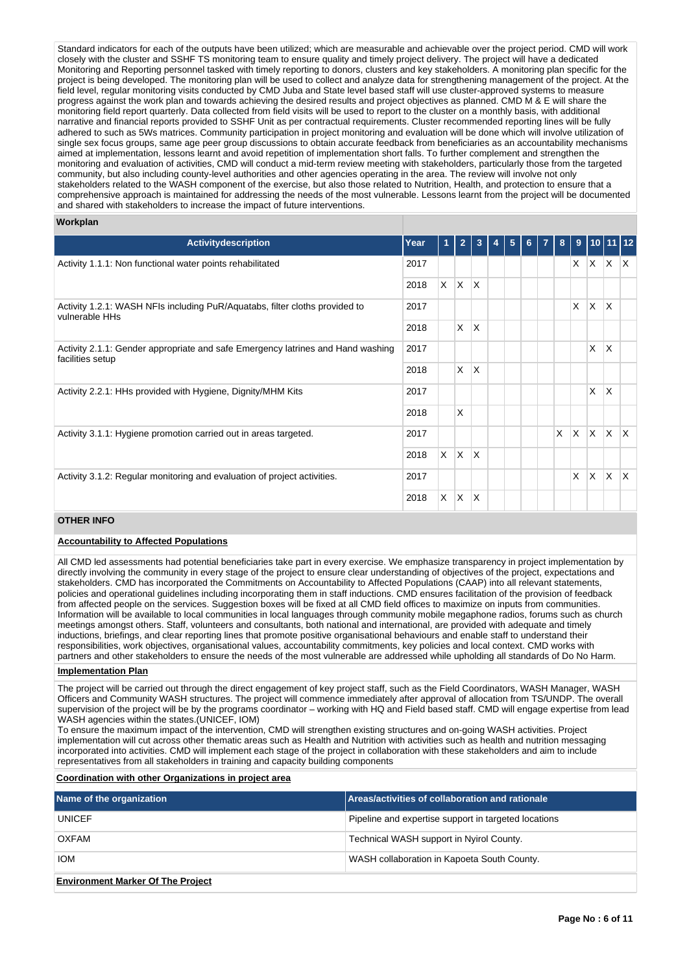Standard indicators for each of the outputs have been utilized; which are measurable and achievable over the project period. CMD will work closely with the cluster and SSHF TS monitoring team to ensure quality and timely project delivery. The project will have a dedicated Monitoring and Reporting personnel tasked with timely reporting to donors, clusters and key stakeholders. A monitoring plan specific for the project is being developed. The monitoring plan will be used to collect and analyze data for strengthening management of the project. At the field level, regular monitoring visits conducted by CMD Juba and State level based staff will use cluster-approved systems to measure progress against the work plan and towards achieving the desired results and project objectives as planned. CMD M & E will share the monitoring field report quarterly. Data collected from field visits will be used to report to the cluster on a monthly basis, with additional narrative and financial reports provided to SSHF Unit as per contractual requirements. Cluster recommended reporting lines will be fully adhered to such as 5Ws matrices. Community participation in project monitoring and evaluation will be done which will involve utilization of single sex focus groups, same age peer group discussions to obtain accurate feedback from beneficiaries as an accountability mechanisms aimed at implementation, lessons learnt and avoid repetition of implementation short falls. To further complement and strengthen the monitoring and evaluation of activities, CMD will conduct a mid-term review meeting with stakeholders, particularly those from the targeted community, but also including county-level authorities and other agencies operating in the area. The review will involve not only stakeholders related to the WASH component of the exercise, but also those related to Nutrition, Health, and protection to ensure that a comprehensive approach is maintained for addressing the needs of the most vulnerable. Lessons learnt from the project will be documented and shared with stakeholders to increase the impact of future interventions.

# **Workplan**

| <b>Activitydescription</b>                                                                          | Year |    | $\overline{\mathbf{2}}$ | 3               | 5 | 6 | 8 | 9            | 10              |              |              |
|-----------------------------------------------------------------------------------------------------|------|----|-------------------------|-----------------|---|---|---|--------------|-----------------|--------------|--------------|
| Activity 1.1.1: Non functional water points rehabilitated                                           | 2017 |    |                         |                 |   |   |   | $\times$     | ΙX.             | $\mathsf{X}$ | $\mathsf{X}$ |
|                                                                                                     | 2018 | X. | $\mathsf{X}$            | X               |   |   |   |              |                 |              |              |
| Activity 1.2.1: WASH NFIs including PuR/Aquatabs, filter cloths provided to<br>vulnerable HHs       | 2017 |    |                         |                 |   |   |   | $\mathsf{X}$ | $\mathsf{\chi}$ | $\mathsf{X}$ |              |
|                                                                                                     | 2018 |    | X.                      | X               |   |   |   |              |                 |              |              |
| Activity 2.1.1: Gender appropriate and safe Emergency latrines and Hand washing<br>facilities setup | 2017 |    |                         |                 |   |   |   |              | $\times$        | X            |              |
|                                                                                                     | 2018 |    | X                       | $\times$        |   |   |   |              |                 |              |              |
| Activity 2.2.1: HHs provided with Hygiene, Dignity/MHM Kits                                         | 2017 |    |                         |                 |   |   |   |              | $\times$        | $\times$     |              |
|                                                                                                     | 2018 |    | X                       |                 |   |   |   |              |                 |              |              |
| Activity 3.1.1: Hygiene promotion carried out in areas targeted.                                    | 2017 |    |                         |                 |   |   | X | <b>X</b>     | ΙX.             | <b>X</b>     | X.           |
|                                                                                                     | 2018 | X  | IX.                     | X               |   |   |   |              |                 |              |              |
| Activity 3.1.2: Regular monitoring and evaluation of project activities.                            | 2017 |    |                         |                 |   |   |   | X            | $\mathsf{\chi}$ | $\mathsf{x}$ | X.           |
|                                                                                                     | 2018 | X  | ΙX.                     | $\mathsf{\chi}$ |   |   |   |              |                 |              |              |

# **OTHER INFO**

### **Accountability to Affected Populations**

All CMD led assessments had potential beneficiaries take part in every exercise. We emphasize transparency in project implementation by directly involving the community in every stage of the project to ensure clear understanding of objectives of the project, expectations and stakeholders. CMD has incorporated the Commitments on Accountability to Affected Populations (CAAP) into all relevant statements, policies and operational guidelines including incorporating them in staff inductions. CMD ensures facilitation of the provision of feedback from affected people on the services. Suggestion boxes will be fixed at all CMD field offices to maximize on inputs from communities. Information will be available to local communities in local languages through community mobile megaphone radios, forums such as church meetings amongst others. Staff, volunteers and consultants, both national and international, are provided with adequate and timely inductions, briefings, and clear reporting lines that promote positive organisational behaviours and enable staff to understand their responsibilities, work objectives, organisational values, accountability commitments, key policies and local context. CMD works with partners and other stakeholders to ensure the needs of the most vulnerable are addressed while upholding all standards of Do No Harm.

### **Implementation Plan**

The project will be carried out through the direct engagement of key project staff, such as the Field Coordinators, WASH Manager, WASH Officers and Community WASH structures. The project will commence immediately after approval of allocation from TS/UNDP. The overall supervision of the project will be by the programs coordinator – working with HQ and Field based staff. CMD will engage expertise from lead WASH agencies within the states.(UNICEF, IOM)

To ensure the maximum impact of the intervention, CMD will strengthen existing structures and on-going WASH activities. Project implementation will cut across other thematic areas such as Health and Nutrition with activities such as health and nutrition messaging incorporated into activities. CMD will implement each stage of the project in collaboration with these stakeholders and aim to include representatives from all stakeholders in training and capacity building components

### **Coordination with other Organizations in project area**

| Name of the organization                 | Areas/activities of collaboration and rationale      |
|------------------------------------------|------------------------------------------------------|
| <b>UNICEF</b>                            | Pipeline and expertise support in targeted locations |
| OXFAM                                    | Technical WASH support in Nyirol County.             |
| <b>IOM</b>                               | WASH collaboration in Kapoeta South County.          |
| <b>Environment Marker Of The Project</b> |                                                      |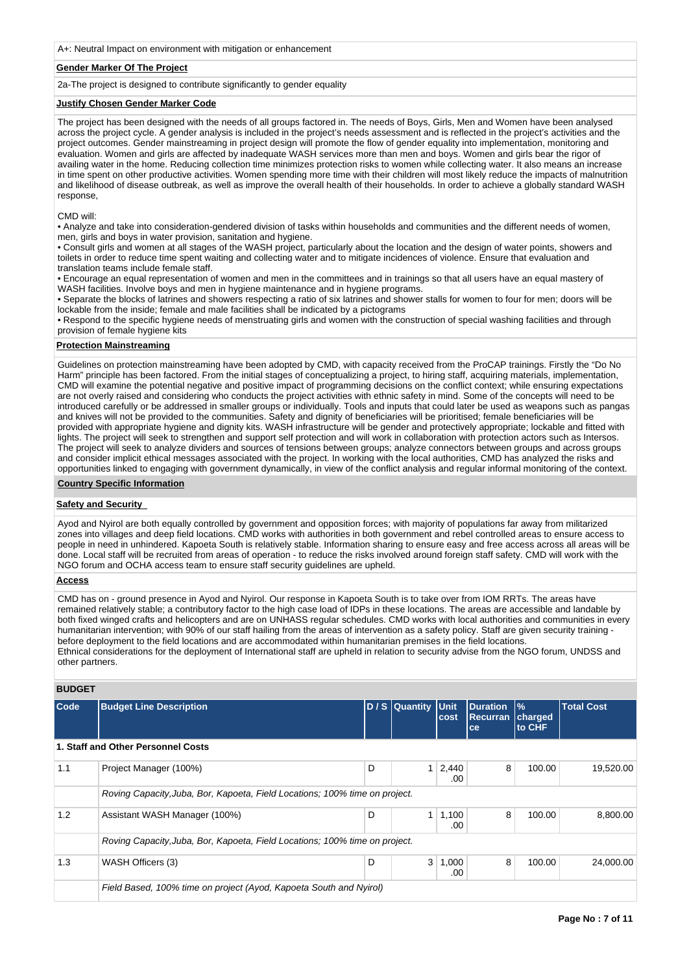A+: Neutral Impact on environment with mitigation or enhancement

### **Gender Marker Of The Project**

2a-The project is designed to contribute significantly to gender equality

### **Justify Chosen Gender Marker Code**

The project has been designed with the needs of all groups factored in. The needs of Boys, Girls, Men and Women have been analysed across the project cycle. A gender analysis is included in the project's needs assessment and is reflected in the project's activities and the project outcomes. Gender mainstreaming in project design will promote the flow of gender equality into implementation, monitoring and evaluation. Women and girls are affected by inadequate WASH services more than men and boys. Women and girls bear the rigor of availing water in the home. Reducing collection time minimizes protection risks to women while collecting water. It also means an increase in time spent on other productive activities. Women spending more time with their children will most likely reduce the impacts of malnutrition and likelihood of disease outbreak, as well as improve the overall health of their households. In order to achieve a globally standard WASH response,

#### CMD will:

• Analyze and take into consideration-gendered division of tasks within households and communities and the different needs of women, men, girls and boys in water provision, sanitation and hygiene.

• Consult girls and women at all stages of the WASH project, particularly about the location and the design of water points, showers and toilets in order to reduce time spent waiting and collecting water and to mitigate incidences of violence. Ensure that evaluation and translation teams include female staff.

• Encourage an equal representation of women and men in the committees and in trainings so that all users have an equal mastery of WASH facilities. Involve boys and men in hygiene maintenance and in hygiene programs.

• Separate the blocks of latrines and showers respecting a ratio of six latrines and shower stalls for women to four for men; doors will be lockable from the inside; female and male facilities shall be indicated by a pictograms

• Respond to the specific hygiene needs of menstruating girls and women with the construction of special washing facilities and through provision of female hygiene kits

# **Protection Mainstreaming**

Guidelines on protection mainstreaming have been adopted by CMD, with capacity received from the ProCAP trainings. Firstly the "Do No Harm" principle has been factored. From the initial stages of conceptualizing a project, to hiring staff, acquiring materials, implementation, CMD will examine the potential negative and positive impact of programming decisions on the conflict context; while ensuring expectations are not overly raised and considering who conducts the project activities with ethnic safety in mind. Some of the concepts will need to be introduced carefully or be addressed in smaller groups or individually. Tools and inputs that could later be used as weapons such as pangas and knives will not be provided to the communities. Safety and dignity of beneficiaries will be prioritised; female beneficiaries will be provided with appropriate hygiene and dignity kits. WASH infrastructure will be gender and protectively appropriate; lockable and fitted with lights. The project will seek to strengthen and support self protection and will work in collaboration with protection actors such as Intersos. The project will seek to analyze dividers and sources of tensions between groups; analyze connectors between groups and across groups and consider implicit ethical messages associated with the project. In working with the local authorities, CMD has analyzed the risks and opportunities linked to engaging with government dynamically, in view of the conflict analysis and regular informal monitoring of the context.

### **Country Specific Information**

# **Safety and Security**

Ayod and Nyirol are both equally controlled by government and opposition forces; with majority of populations far away from militarized zones into villages and deep field locations. CMD works with authorities in both government and rebel controlled areas to ensure access to people in need in unhindered. Kapoeta South is relatively stable. Information sharing to ensure easy and free access across all areas will be done. Local staff will be recruited from areas of operation - to reduce the risks involved around foreign staff safety. CMD will work with the NGO forum and OCHA access team to ensure staff security guidelines are upheld.

### **Access**

CMD has on - ground presence in Ayod and Nyirol. Our response in Kapoeta South is to take over from IOM RRTs. The areas have remained relatively stable; a contributory factor to the high case load of IDPs in these locations. The areas are accessible and landable by both fixed winged crafts and helicopters and are on UNHASS regular schedules. CMD works with local authorities and communities in every humanitarian intervention; with 90% of our staff hailing from the areas of intervention as a safety policy. Staff are given security training before deployment to the field locations and are accommodated within humanitarian premises in the field locations. Ethnical considerations for the deployment of International staff are upheld in relation to security advise from the NGO forum, UNDSS and other partners.

# **BUDGET**

| Code | <b>Budget Line Description</b>                                              |   | D / S Quantity Unit | cost         | <b>Duration</b><br>Recurran<br>ce | $\frac{9}{6}$<br>charged<br>to CHF | <b>Total Cost</b> |  |
|------|-----------------------------------------------------------------------------|---|---------------------|--------------|-----------------------------------|------------------------------------|-------------------|--|
|      | 1. Staff and Other Personnel Costs                                          |   |                     |              |                                   |                                    |                   |  |
| 1.1  | Project Manager (100%)                                                      | D |                     | 2,440<br>.00 | 8                                 | 100.00                             | 19,520.00         |  |
|      | Roving Capacity, Juba, Bor, Kapoeta, Field Locations; 100% time on project. |   |                     |              |                                   |                                    |                   |  |
| 1.2  | Assistant WASH Manager (100%)                                               | D |                     | 1,100<br>.00 | 8                                 | 100.00                             | 8,800.00          |  |
|      | Roving Capacity, Juba, Bor, Kapoeta, Field Locations; 100% time on project. |   |                     |              |                                   |                                    |                   |  |
| 1.3  | WASH Officers (3)                                                           | D | 3                   | 1,000<br>.00 | 8                                 | 100.00                             | 24,000.00         |  |
|      | Field Based, 100% time on project (Ayod, Kapoeta South and Nyirol)          |   |                     |              |                                   |                                    |                   |  |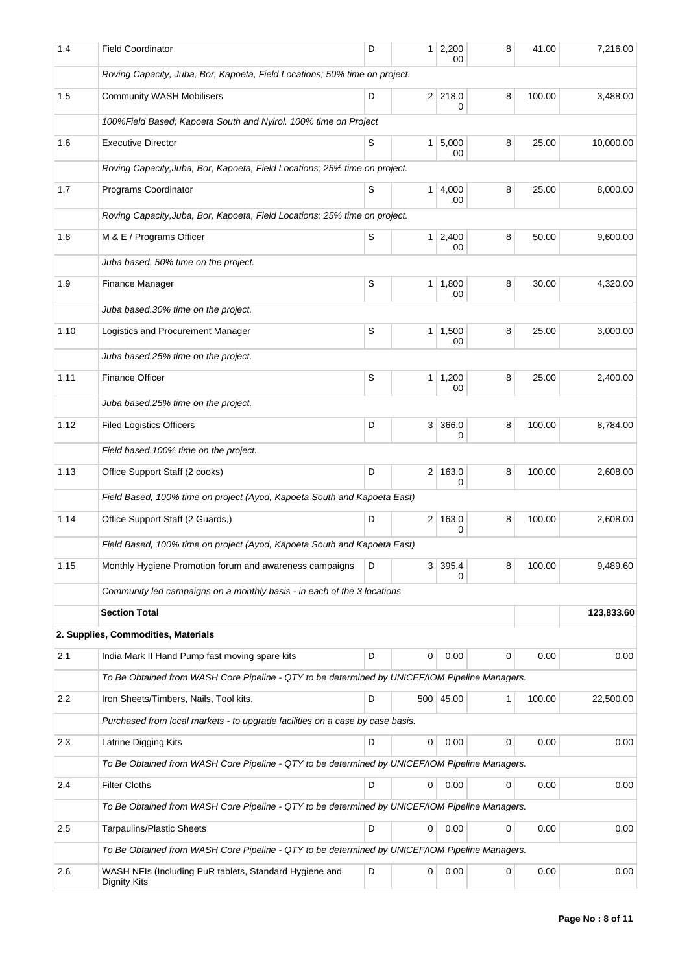| 1.4  | <b>Field Coordinator</b>                                                                       | D | 1 <sup>1</sup> | 2,200<br>.00          | 8 | 41.00  | 7,216.00   |  |  |  |  |  |  |
|------|------------------------------------------------------------------------------------------------|---|----------------|-----------------------|---|--------|------------|--|--|--|--|--|--|
|      | Roving Capacity, Juba, Bor, Kapoeta, Field Locations; 50% time on project.                     |   |                |                       |   |        |            |  |  |  |  |  |  |
| 1.5  | <b>Community WASH Mobilisers</b>                                                               | D |                | $2$ 218.0<br>0        | 8 | 100.00 | 3,488.00   |  |  |  |  |  |  |
|      | 100%Field Based; Kapoeta South and Nyirol. 100% time on Project                                |   |                |                       |   |        |            |  |  |  |  |  |  |
| 1.6  | <b>Executive Director</b>                                                                      | S |                | $1 \, 5,000$<br>.00   | 8 | 25.00  | 10,000.00  |  |  |  |  |  |  |
|      | Roving Capacity, Juba, Bor, Kapoeta, Field Locations; 25% time on project.                     |   |                |                       |   |        |            |  |  |  |  |  |  |
| 1.7  | Programs Coordinator                                                                           | S | 1 <sup>1</sup> | 4,000                 | 8 | 25.00  | 8,000.00   |  |  |  |  |  |  |
|      | Roving Capacity, Juba, Bor, Kapoeta, Field Locations; 25% time on project.                     |   |                | .00                   |   |        |            |  |  |  |  |  |  |
| 1.8  | M & E / Programs Officer                                                                       | 8 | 50.00          | 9,600.00              |   |        |            |  |  |  |  |  |  |
|      | .00<br>Juba based. 50% time on the project.                                                    |   |                |                       |   |        |            |  |  |  |  |  |  |
| 1.9  | Finance Manager                                                                                | S | 1 <sup>1</sup> | 1,800                 | 8 | 30.00  | 4,320.00   |  |  |  |  |  |  |
|      |                                                                                                |   |                | .00                   |   |        |            |  |  |  |  |  |  |
|      | Juba based.30% time on the project.                                                            |   |                |                       |   |        |            |  |  |  |  |  |  |
| 1.10 | Logistics and Procurement Manager                                                              | S |                | $1 \mid 1,500$<br>.00 | 8 | 25.00  | 3,000.00   |  |  |  |  |  |  |
|      | Juba based.25% time on the project.                                                            |   |                |                       |   |        |            |  |  |  |  |  |  |
| 1.11 | <b>Finance Officer</b>                                                                         | S |                | $1 \mid 1,200$<br>.00 | 8 | 25.00  | 2,400.00   |  |  |  |  |  |  |
|      | Juba based.25% time on the project.                                                            |   |                |                       |   |        |            |  |  |  |  |  |  |
| 1.12 | <b>Filed Logistics Officers</b>                                                                | D | 3 <sup>1</sup> | 366.0<br>0            | 8 | 100.00 | 8,784.00   |  |  |  |  |  |  |
|      | Field based. 100% time on the project.                                                         |   |                |                       |   |        |            |  |  |  |  |  |  |
| 1.13 | Office Support Staff (2 cooks)                                                                 | D | 2 <sup>1</sup> | 163.0<br>0            | 8 | 100.00 | 2,608.00   |  |  |  |  |  |  |
|      | Field Based, 100% time on project (Ayod, Kapoeta South and Kapoeta East)                       |   |                |                       |   |        |            |  |  |  |  |  |  |
| 1.14 | Office Support Staff (2 Guards,)                                                               | D |                | 2 163.0               | 8 | 100.00 | 2,608.00   |  |  |  |  |  |  |
|      | Field Based, 100% time on project (Ayod, Kapoeta South and Kapoeta East)                       |   |                | 0                     |   |        |            |  |  |  |  |  |  |
| 1.15 | Monthly Hygiene Promotion forum and awareness campaigns                                        | D | 3 <sup>1</sup> | 395.4                 | 8 | 100.00 | 9,489.60   |  |  |  |  |  |  |
|      | Community led campaigns on a monthly basis - in each of the 3 locations                        |   |                | 0                     |   |        |            |  |  |  |  |  |  |
|      | <b>Section Total</b>                                                                           |   |                |                       |   |        | 123,833.60 |  |  |  |  |  |  |
|      | 2. Supplies, Commodities, Materials                                                            |   |                |                       |   |        |            |  |  |  |  |  |  |
| 2.1  | India Mark II Hand Pump fast moving spare kits                                                 | D | 0              | 0.00                  | 0 | 0.00   | 0.00       |  |  |  |  |  |  |
|      | To Be Obtained from WASH Core Pipeline - QTY to be determined by UNICEF/IOM Pipeline Managers. |   |                |                       |   |        |            |  |  |  |  |  |  |
| 2.2  | Iron Sheets/Timbers, Nails, Tool kits.                                                         | D |                | 500 45.00             | 1 | 100.00 | 22,500.00  |  |  |  |  |  |  |
|      | Purchased from local markets - to upgrade facilities on a case by case basis.                  |   |                |                       |   |        |            |  |  |  |  |  |  |
| 2.3  | Latrine Digging Kits                                                                           | D | 0              | 0.00                  | 0 | 0.00   | 0.00       |  |  |  |  |  |  |
|      | To Be Obtained from WASH Core Pipeline - QTY to be determined by UNICEF/IOM Pipeline Managers. |   |                |                       |   |        |            |  |  |  |  |  |  |
| 2.4  | <b>Filter Cloths</b>                                                                           | D | 0              | 0.00                  | 0 | 0.00   | 0.00       |  |  |  |  |  |  |
|      | To Be Obtained from WASH Core Pipeline - QTY to be determined by UNICEF/IOM Pipeline Managers. |   |                |                       |   |        |            |  |  |  |  |  |  |
| 2.5  | <b>Tarpaulins/Plastic Sheets</b>                                                               | D | 0              | 0.00                  | 0 | 0.00   | 0.00       |  |  |  |  |  |  |
|      |                                                                                                |   |                |                       |   |        |            |  |  |  |  |  |  |
|      | To Be Obtained from WASH Core Pipeline - QTY to be determined by UNICEF/IOM Pipeline Managers. |   |                |                       |   |        |            |  |  |  |  |  |  |
| 2.6  | WASH NFIs (Including PuR tablets, Standard Hygiene and<br><b>Dignity Kits</b>                  | D | 0              | 0.00                  | 0 | 0.00   | 0.00       |  |  |  |  |  |  |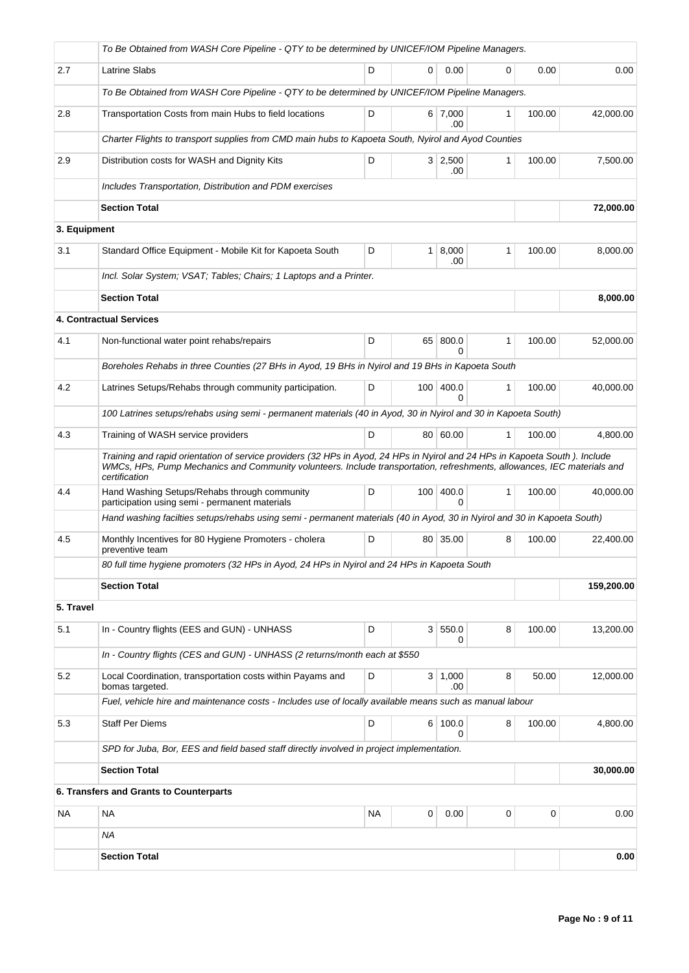|              | To Be Obtained from WASH Core Pipeline - QTY to be determined by UNICEF/IOM Pipeline Managers.                                                                                                                                                                          |           |                  |                       |              |        |            |  |  |
|--------------|-------------------------------------------------------------------------------------------------------------------------------------------------------------------------------------------------------------------------------------------------------------------------|-----------|------------------|-----------------------|--------------|--------|------------|--|--|
| 2.7          | <b>Latrine Slabs</b>                                                                                                                                                                                                                                                    | D         | 0                | 0.00                  | 0            | 0.00   | 0.00       |  |  |
|              | To Be Obtained from WASH Core Pipeline - QTY to be determined by UNICEF/IOM Pipeline Managers.                                                                                                                                                                          |           |                  |                       |              |        |            |  |  |
| 2.8          | Transportation Costs from main Hubs to field locations                                                                                                                                                                                                                  | D         |                  | $6 \mid 7,000$<br>.00 | 1            | 100.00 | 42,000.00  |  |  |
|              | Charter Flights to transport supplies from CMD main hubs to Kapoeta South, Nyirol and Ayod Counties                                                                                                                                                                     |           |                  |                       |              |        |            |  |  |
| 2.9          | Distribution costs for WASH and Dignity Kits                                                                                                                                                                                                                            | D         |                  | $3 \mid 2,500$<br>.00 | 1            | 100.00 | 7,500.00   |  |  |
|              | Includes Transportation, Distribution and PDM exercises                                                                                                                                                                                                                 |           |                  |                       |              |        |            |  |  |
|              | <b>Section Total</b>                                                                                                                                                                                                                                                    |           |                  |                       |              |        | 72,000.00  |  |  |
| 3. Equipment |                                                                                                                                                                                                                                                                         |           |                  |                       |              |        |            |  |  |
| 3.1          | Standard Office Equipment - Mobile Kit for Kapoeta South                                                                                                                                                                                                                | D         | $\mathbf{1}$     | 8,000<br>.00          | 1            | 100.00 | 8,000.00   |  |  |
|              | Incl. Solar System; VSAT; Tables; Chairs; 1 Laptops and a Printer.                                                                                                                                                                                                      |           |                  |                       |              |        |            |  |  |
|              | <b>Section Total</b>                                                                                                                                                                                                                                                    |           |                  |                       |              |        | 8,000.00   |  |  |
|              | <b>4. Contractual Services</b>                                                                                                                                                                                                                                          |           |                  |                       |              |        |            |  |  |
| 4.1          | Non-functional water point rehabs/repairs                                                                                                                                                                                                                               | D         | 65               | 800.0<br>0            | 1            | 100.00 | 52,000.00  |  |  |
|              | Boreholes Rehabs in three Counties (27 BHs in Ayod, 19 BHs in Nyirol and 19 BHs in Kapoeta South                                                                                                                                                                        |           |                  |                       |              |        |            |  |  |
| 4.2          | Latrines Setups/Rehabs through community participation.                                                                                                                                                                                                                 | D         | 100              | 400.0<br>0            | 1            | 100.00 | 40,000.00  |  |  |
|              | 100 Latrines setups/rehabs using semi - permanent materials (40 in Ayod, 30 in Nyirol and 30 in Kapoeta South)                                                                                                                                                          |           |                  |                       |              |        |            |  |  |
| 4.3          | Training of WASH service providers                                                                                                                                                                                                                                      | D         |                  | 80 60.00              | 1            | 100.00 | 4,800.00   |  |  |
|              | Training and rapid orientation of service providers (32 HPs in Ayod, 24 HPs in Nyirol and 24 HPs in Kapoeta South). Include<br>WMCs, HPs, Pump Mechanics and Community volunteers. Include transportation, refreshments, allowances, IEC materials and<br>certification |           |                  |                       |              |        |            |  |  |
| 4.4          | Hand Washing Setups/Rehabs through community<br>participation using semi - permanent materials                                                                                                                                                                          | D         | 100 <sup>1</sup> | 400.0<br>0            | $\mathbf{1}$ | 100.00 | 40,000.00  |  |  |
|              | Hand washing facilties setups/rehabs using semi - permanent materials (40 in Ayod, 30 in Nyirol and 30 in Kapoeta South)                                                                                                                                                |           |                  |                       |              |        |            |  |  |
| 4.5          | Monthly Incentives for 80 Hygiene Promoters - cholera<br>preventive team                                                                                                                                                                                                | D         |                  | 80 35.00              | 8            | 100.00 | 22,400.00  |  |  |
|              | 80 full time hygiene promoters (32 HPs in Ayod, 24 HPs in Nyirol and 24 HPs in Kapoeta South                                                                                                                                                                            |           |                  |                       |              |        |            |  |  |
|              | <b>Section Total</b>                                                                                                                                                                                                                                                    |           |                  |                       |              |        | 159,200.00 |  |  |
| 5. Travel    |                                                                                                                                                                                                                                                                         |           |                  |                       |              |        |            |  |  |
| 5.1          | In - Country flights (EES and GUN) - UNHASS                                                                                                                                                                                                                             | D         |                  | 3   550.0<br>0        | 8            | 100.00 | 13,200.00  |  |  |
|              | In - Country flights (CES and GUN) - UNHASS (2 returns/month each at \$550                                                                                                                                                                                              |           |                  |                       |              |        |            |  |  |
| 5.2          | Local Coordination, transportation costs within Payams and<br>bomas targeted.                                                                                                                                                                                           | D         |                  | 3   1,000<br>.00      | 8            | 50.00  | 12,000.00  |  |  |
|              | Fuel, vehicle hire and maintenance costs - Includes use of locally available means such as manual labour                                                                                                                                                                |           |                  |                       |              |        |            |  |  |
| 5.3          | <b>Staff Per Diems</b>                                                                                                                                                                                                                                                  | D         |                  | 6 100.0<br>0          | 8            | 100.00 | 4,800.00   |  |  |
|              | SPD for Juba, Bor, EES and field based staff directly involved in project implementation.                                                                                                                                                                               |           |                  |                       |              |        |            |  |  |
|              | <b>Section Total</b>                                                                                                                                                                                                                                                    |           |                  |                       |              |        | 30,000.00  |  |  |
|              | 6. Transfers and Grants to Counterparts                                                                                                                                                                                                                                 |           |                  |                       |              |        |            |  |  |
| NA           | <b>NA</b>                                                                                                                                                                                                                                                               | <b>NA</b> | 0                | 0.00                  | 0            | 0      | 0.00       |  |  |
|              | <b>NA</b>                                                                                                                                                                                                                                                               |           |                  |                       |              |        |            |  |  |
|              | <b>Section Total</b>                                                                                                                                                                                                                                                    |           |                  |                       |              |        | 0.00       |  |  |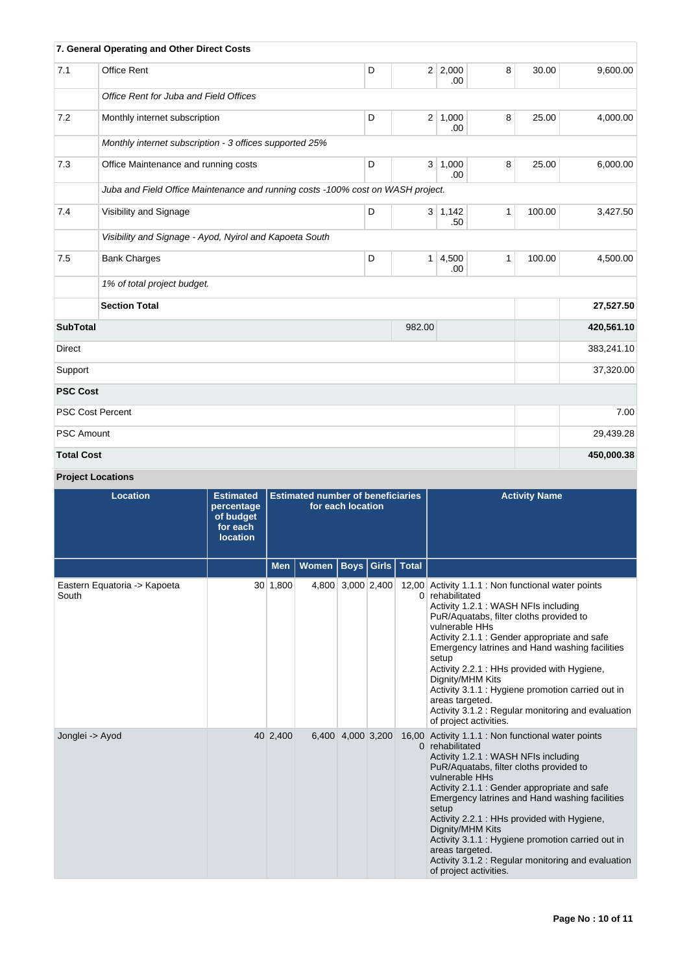|                   | 7. General Operating and Other Direct Costs                                     |   |                |                   |   |        |            |
|-------------------|---------------------------------------------------------------------------------|---|----------------|-------------------|---|--------|------------|
| 7.1               | <b>Office Rent</b>                                                              | D |                | 2 2,000<br>.00    | 8 | 30.00  | 9,600.00   |
|                   | Office Rent for Juba and Field Offices                                          |   |                |                   |   |        |            |
| 7.2               | Monthly internet subscription                                                   | D | 2 <sup>1</sup> | 1,000<br>.00      | 8 | 25.00  | 4,000.00   |
|                   | Monthly internet subscription - 3 offices supported 25%                         |   |                |                   |   |        |            |
| 7.3               | Office Maintenance and running costs                                            | D |                | 3   1,000<br>.00. | 8 | 25.00  | 6,000.00   |
|                   | Juba and Field Office Maintenance and running costs -100% cost on WASH project. |   |                |                   |   |        |            |
| 7.4               | Visibility and Signage                                                          | D |                | 3   1,142<br>.50  | 1 | 100.00 | 3,427.50   |
|                   | Visibility and Signage - Ayod, Nyirol and Kapoeta South                         |   |                |                   |   |        |            |
| 7.5               | <b>Bank Charges</b>                                                             | D |                | 1 4,500<br>.00    | 1 | 100.00 | 4,500.00   |
|                   | 1% of total project budget.                                                     |   |                |                   |   |        |            |
|                   | <b>Section Total</b>                                                            |   |                |                   |   |        | 27,527.50  |
| <b>SubTotal</b>   |                                                                                 |   | 982.00         |                   |   |        | 420,561.10 |
| Direct            |                                                                                 |   |                |                   |   |        | 383,241.10 |
| Support           |                                                                                 |   |                | 37,320.00         |   |        |            |
| <b>PSC Cost</b>   |                                                                                 |   |                |                   |   |        |            |
|                   | <b>PSC Cost Percent</b>                                                         |   |                |                   |   |        | 7.00       |
| <b>PSC Amount</b> |                                                                                 |   |                |                   |   |        | 29,439.28  |
| <b>Total Cost</b> |                                                                                 |   |                |                   |   |        | 450,000.38 |

# **Project Locations**

| <b>Location</b>                       | <b>Estimated</b><br>percentage<br>of budget<br>for each<br><b>location</b> | <b>Estimated number of beneficiaries</b><br>for each location |              |                   |                      | <b>Activity Name</b>                                                                                                                                                                                                                                                                                                                                                                                                                                                                                             |
|---------------------------------------|----------------------------------------------------------------------------|---------------------------------------------------------------|--------------|-------------------|----------------------|------------------------------------------------------------------------------------------------------------------------------------------------------------------------------------------------------------------------------------------------------------------------------------------------------------------------------------------------------------------------------------------------------------------------------------------------------------------------------------------------------------------|
|                                       |                                                                            | <b>Men</b>                                                    | <b>Women</b> |                   | Boys   Girls   Total |                                                                                                                                                                                                                                                                                                                                                                                                                                                                                                                  |
| Eastern Equatoria -> Kapoeta<br>South |                                                                            | 30 1,800                                                      |              | 4,800 3,000 2,400 |                      | 12,00 Activity 1.1.1 : Non functional water points<br>0 rehabilitated<br>Activity 1.2.1 : WASH NFIs including<br>PuR/Aquatabs, filter cloths provided to<br>vulnerable HHs<br>Activity 2.1.1 : Gender appropriate and safe<br>Emergency latrines and Hand washing facilities<br>setup<br>Activity 2.2.1 : HHs provided with Hygiene,<br>Dignity/MHM Kits<br>Activity 3.1.1 : Hygiene promotion carried out in<br>areas targeted.<br>Activity 3.1.2 : Regular monitoring and evaluation<br>of project activities. |
| Jonglei -> Ayod                       |                                                                            | 40 2,400                                                      |              | 6,400 4,000 3,200 |                      | 16,00 Activity 1.1.1 : Non functional water points<br>0 rehabilitated<br>Activity 1.2.1 : WASH NFIs including<br>PuR/Aquatabs, filter cloths provided to<br>vulnerable HHs<br>Activity 2.1.1 : Gender appropriate and safe<br>Emergency latrines and Hand washing facilities<br>setup<br>Activity 2.2.1 : HHs provided with Hygiene,<br>Dignity/MHM Kits<br>Activity 3.1.1 : Hygiene promotion carried out in<br>areas targeted.<br>Activity 3.1.2 : Regular monitoring and evaluation<br>of project activities. |